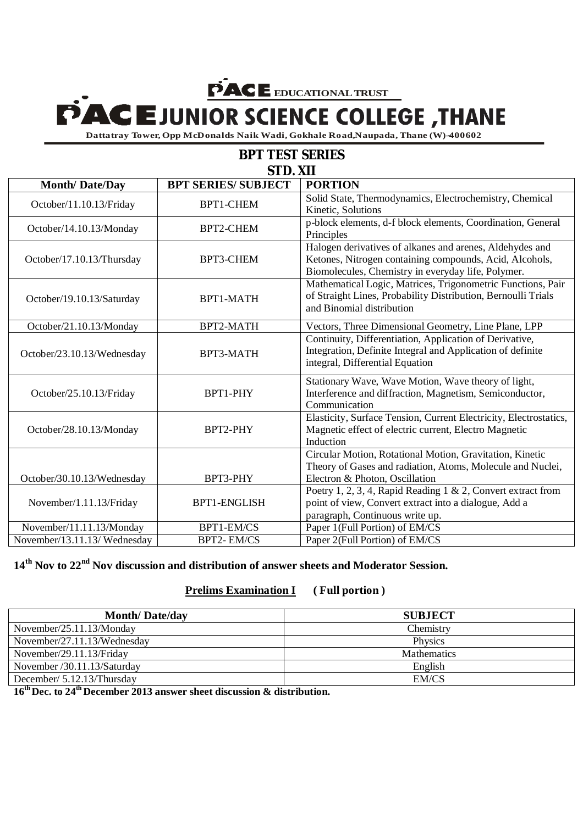## **EDUCATIONAL TRUST**<br> **EDUNIOR SCIENCE COLLEGE**, THANE

**BPT TEST SERIES Dattatray Tower, Opp McDonalds Naik Wadi, Gokhale Road,Naupada, Thane (W)-400602** -

| <b>BPI ILSI SERIES</b>       |                            |                                                                                                                                                                           |  |  |
|------------------------------|----------------------------|---------------------------------------------------------------------------------------------------------------------------------------------------------------------------|--|--|
| STD. XII                     |                            |                                                                                                                                                                           |  |  |
| <b>Month/Date/Day</b>        | <b>BPT SERIES/ SUBJECT</b> | <b>PORTION</b>                                                                                                                                                            |  |  |
| October/11.10.13/Friday      | <b>BPT1-CHEM</b>           | Solid State, Thermodynamics, Electrochemistry, Chemical<br>Kinetic, Solutions                                                                                             |  |  |
| October/14.10.13/Monday      | BPT2-CHEM                  | p-block elements, d-f block elements, Coordination, General<br>Principles                                                                                                 |  |  |
| October/17.10.13/Thursday    | BPT3-CHEM                  | Halogen derivatives of alkanes and arenes, Aldehydes and<br>Ketones, Nitrogen containing compounds, Acid, Alcohols,<br>Biomolecules, Chemistry in everyday life, Polymer. |  |  |
| October/19.10.13/Saturday    | BPT1-MATH                  | Mathematical Logic, Matrices, Trigonometric Functions, Pair<br>of Straight Lines, Probability Distribution, Bernoulli Trials<br>and Binomial distribution                 |  |  |
| October/21.10.13/Monday      | BPT2-MATH                  | Vectors, Three Dimensional Geometry, Line Plane, LPP                                                                                                                      |  |  |
| October/23.10.13/Wednesday   | BPT3-MATH                  | Continuity, Differentiation, Application of Derivative,<br>Integration, Definite Integral and Application of definite<br>integral, Differential Equation                  |  |  |
| October/25.10.13/Friday      | BPT1-PHY                   | Stationary Wave, Wave Motion, Wave theory of light,<br>Interference and diffraction, Magnetism, Semiconductor,<br>Communication                                           |  |  |
| October/28.10.13/Monday      | BPT2-PHY                   | Elasticity, Surface Tension, Current Electricity, Electrostatics,<br>Magnetic effect of electric current, Electro Magnetic<br>Induction                                   |  |  |
| October/30.10.13/Wednesday   | BPT3-PHY                   | Circular Motion, Rotational Motion, Gravitation, Kinetic<br>Theory of Gases and radiation, Atoms, Molecule and Nuclei,<br>Electron & Photon, Oscillation                  |  |  |
| November/1.11.13/Friday      | <b>BPT1-ENGLISH</b>        | Poetry 1, 2, 3, 4, Rapid Reading 1 & 2, Convert extract from<br>point of view, Convert extract into a dialogue, Add a<br>paragraph, Continuous write up.                  |  |  |
| November/11.11.13/Monday     | BPT1-EM/CS                 | Paper 1(Full Portion) of EM/CS                                                                                                                                            |  |  |
| November/13.11.13/ Wednesday | <b>BPT2-EM/CS</b>          | Paper 2(Full Portion) of EM/CS                                                                                                                                            |  |  |

## **14th Nov to 22nd Nov discussion and distribution of answer sheets and Moderator Session.**

## **Prelims Examination I ( Full portion )**

| <b>Month/Date/day</b>       | <b>SUBJECT</b>     |
|-----------------------------|--------------------|
| November/25.11.13/Monday    | Chemistry          |
| November/27.11.13/Wednesday | <b>Physics</b>     |
| November/29.11.13/Friday    | <b>Mathematics</b> |
| November /30.11.13/Saturday | English            |
| December/ 5.12.13/Thursday  | EM/CS              |

**16th Dec. to 24th December 2013 answer sheet discussion & distribution.**